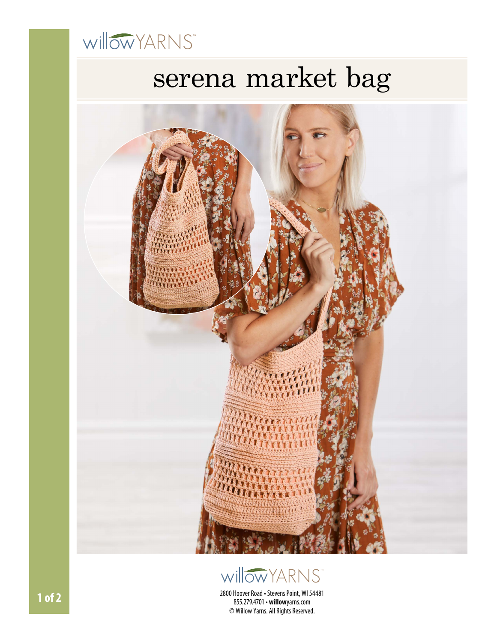

# serena market bag





2800 Hoover Road • Stevens Point, WI 54481 855.279.4701• **willow**yarns.com © Willow Yarns. All Rights Reserved.